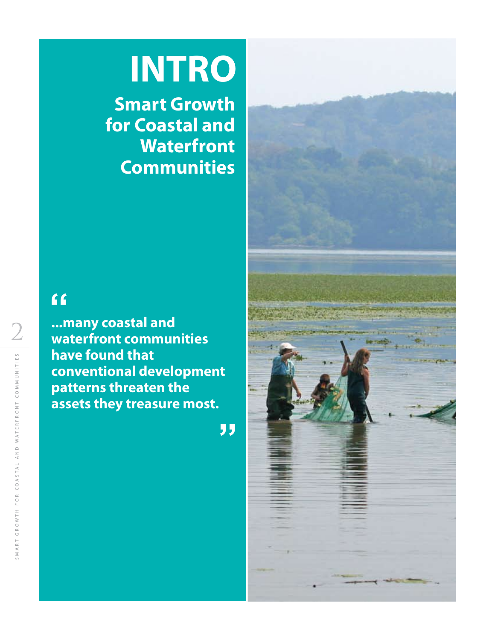# **INTRO**

**Smart Growth for Coastal and Waterfront Communities**

### $66$

**Example 12 ... The AND STRONG STATE COMMUNITION CONSTANT COMMUNITION COMMUNITION CONVENTIONAL CONVENTIONAL CONVENTION ADDETERMONT COMMUNITION CONSTRAINING AND AND AND AND AND AND SURFACE AND AND STRONG STATE COMMUNITION C waterfront communities have found that conventional development patterns threaten the assets they treasure most.**

"

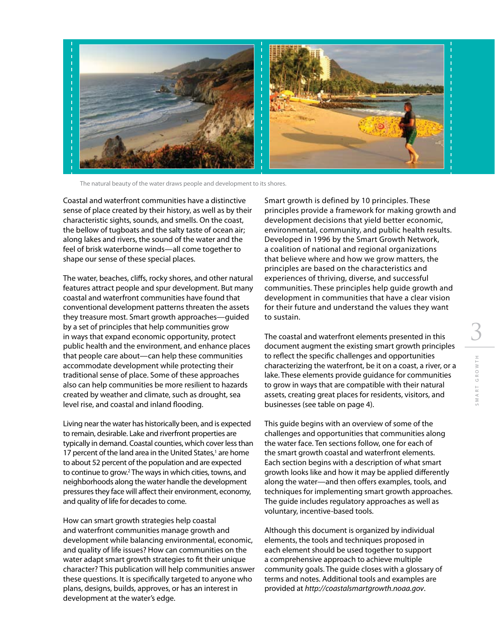

The natural beauty of the water draws people and development to its shores.

Coastal and waterfront communities have a distinctive sense of place created by their history, as well as by their characteristic sights, sounds, and smells. On the coast, the bellow of tugboats and the salty taste of ocean air; along lakes and rivers, the sound of the water and the feel of brisk waterborne winds—all come together to shape our sense of these special places.

The water, beaches, cliffs, rocky shores, and other natural features attract people and spur development. But many coastal and waterfront communities have found that conventional development patterns threaten the assets they treasure most. Smart growth approaches—guided by a set of principles that help communities grow in ways that expand economic opportunity, protect public health and the environment, and enhance places that people care about—can help these communities accommodate development while protecting their traditional sense of place. Some of these approaches also can help communities be more resilient to hazards created by weather and climate, such as drought, sea level rise, and coastal and inland flooding.

Living near the water has historically been, and is expected to remain, desirable. Lake and riverfront properties are typically in demand. Coastal counties, which cover less than 17 percent of the land area in the United States,<sup>1</sup> are home to about 52 percent of the population and are expected to continue to grow.2 The ways in which cities, towns, and neighborhoods along the water handle the development pressures they face will affect their environment, economy, and quality of life for decades to come.

How can smart growth strategies help coastal and waterfront communities manage growth and development while balancing environmental, economic, and quality of life issues? How can communities on the water adapt smart growth strategies to fit their unique character? This publication will help communities answer these questions. It is specifically targeted to anyone who plans, designs, builds, approves, or has an interest in development at the water's edge.

Smart growth is defined by 10 principles. These principles provide a framework for making growth and development decisions that yield better economic, environmental, community, and public health results. Developed in 1996 by the Smart Growth Network, a coalition of national and regional organizations that believe where and how we grow matters, the principles are based on the characteristics and experiences of thriving, diverse, and successful communities. These principles help guide growth and development in communities that have a clear vision for their future and understand the values they want to sustain.

The coastal and waterfront elements presented in this document augment the existing smart growth principles to reflect the specific challenges and opportunities characterizing the waterfront, be it on a coast, a river, or a lake. These elements provide guidance for communities to grow in ways that are compatible with their natural assets, creating great places for residents, visitors, and businesses (see table on page 4).

This guide begins with an overview of some of the challenges and opportunities that communities along the water face. Ten sections follow, one for each of the smart growth coastal and waterfront elements. Each section begins with a description of what smart growth looks like and how it may be applied differently along the water—and then offers examples, tools, and techniques for implementing smart growth approaches. The guide includes regulatory approaches as well as voluntary, incentive-based tools.

Although this document is organized by individual elements, the tools and techniques proposed in each element should be used together to support a comprehensive approach to achieve multiple community goals. The guide closes with a glossary of terms and notes. Additional tools and examples are provided at *http://coastalsmartgrowth.noaa.gov*.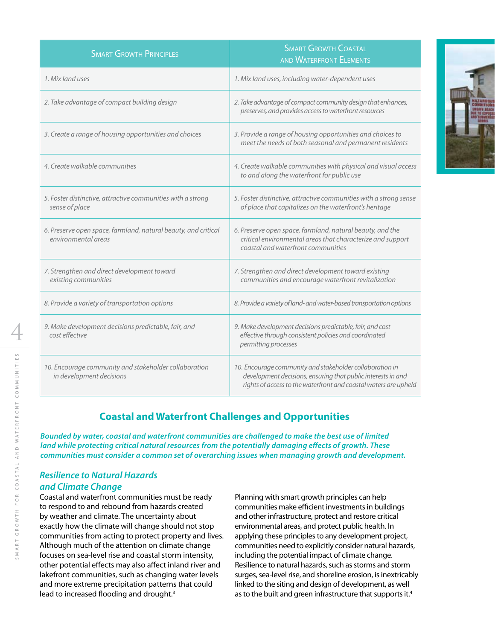| <b>SMART GROWTH PRINCIPLES</b>                                                        | <b>SMART GROWTH COASTAL</b><br><b>AND WATERFRONT ELEMENTS</b>                                                                                                                                |
|---------------------------------------------------------------------------------------|----------------------------------------------------------------------------------------------------------------------------------------------------------------------------------------------|
| 1. Mix land uses                                                                      | 1. Mix land uses, including water-dependent uses                                                                                                                                             |
| 2. Take advantage of compact building design                                          | 2. Take advantage of compact community design that enhances,<br>preserves, and provides access to waterfront resources                                                                       |
| 3. Create a range of housing opportunities and choices                                | 3. Provide a range of housing opportunities and choices to<br>meet the needs of both seasonal and permanent residents                                                                        |
| 4. Create walkable communities                                                        | 4. Create walkable communities with physical and visual access<br>to and along the waterfront for public use                                                                                 |
| 5. Foster distinctive, attractive communities with a strong<br>sense of place         | 5. Foster distinctive, attractive communities with a strong sense<br>of place that capitalizes on the waterfront's heritage                                                                  |
| 6. Preserve open space, farmland, natural beauty, and critical<br>environmental areas | 6. Preserve open space, farmland, natural beauty, and the<br>critical environmental areas that characterize and support<br>coastal and waterfront communities                                |
| 7. Strengthen and direct development toward<br>existing communities                   | 7. Strengthen and direct development toward existing<br>communities and encourage waterfront revitalization                                                                                  |
| 8. Provide a variety of transportation options                                        | 8. Provide a variety of land- and water-based transportation options                                                                                                                         |
| 9. Make development decisions predictable, fair, and<br>cost effective                | 9. Make development decisions predictable, fair, and cost<br>effective through consistent policies and coordinated<br>permitting processes                                                   |
| 10. Encourage community and stakeholder collaboration<br>in development decisions     | 10. Encourage community and stakeholder collaboration in<br>development decisions, ensuring that public interests in and<br>rights of access to the waterfront and coastal waters are upheld |

#### **Coastal and Waterfront Challenges and Opportunities**

*Bounded by water, coastal and waterfront communities are challenged to make the best use of limited land while protecting critical natural resources from the potentially damaging effects of growth. These communities must consider a common set of overarching issues when managing growth and development.*

#### *Resilience to Natural Hazards and Climate Change*

Coastal and waterfront communities must be ready to respond to and rebound from hazards created by weather and climate. The uncertainty about exactly how the climate will change should not stop communities from acting to protect property and lives. Although much of the attention on climate change focuses on sea-level rise and coastal storm intensity, other potential effects may also affect inland river and lakefront communities, such as changing water levels and more extreme precipitation patterns that could lead to increased flooding and drought. 3

Planning with smart growth principles can help communities make efficient investments in buildings and other infrastructure, protect and restore critical environmental areas, and protect public health. In applying these principles to any development project, communities need to explicitly consider natural hazards, including the potential impact of climate change. Resilience to natural hazards, such as storms and storm surges, sea-level rise, and shoreline erosion, is inextricably linked to the siting and design of development, as well as to the built and green infrastructure that supports it.<sup>4</sup>

SMART GROWTH FOR COASTAL AND WATERFRONT COMMUNITIES

SMART GROWTH FOR COASTAL AND WATERFRONT COMMUNITIES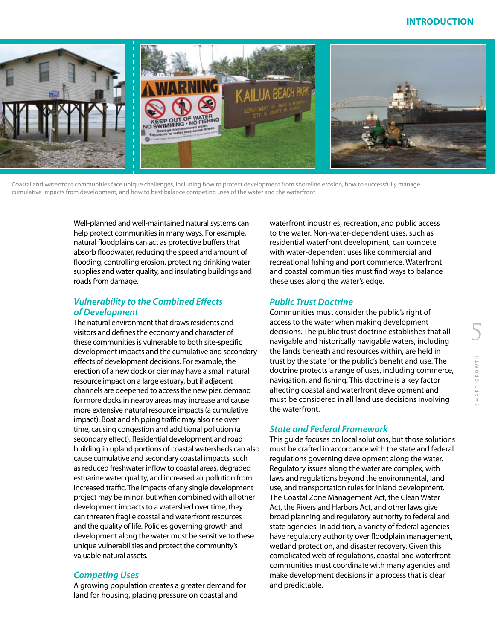#### **INTRODUCTION**



Coastal and waterfront communities face unique challenges, including how to protect development from shoreline erosion, how to successfully manage cumulative impacts from development, and how to best balance competing uses of the water and the waterfront.

Well-planned and well-maintained natural systems can help protect communities in many ways. For example, natural floodplains can act as protective buffers that absorb floodwater, reducing the speed and amount of flooding, controlling erosion, protecting drinking water supplies and water quality, and insulating buildings and roads from damage.

#### *Vulnerability to the Combined Effects of Development*

The natural environment that draws residents and visitors and defines the economy and character of these communities is vulnerable to both site-specific development impacts and the cumulative and secondary effects of development decisions. For example, the erection of a new dock or pier may have a small natural resource impact on a large estuary, but if adjacent channels are deepened to access the new pier, demand for more docks in nearby areas may increase and cause more extensive natural resource impacts (a cumulative impact). Boat and shipping traffic may also rise over time, causing congestion and additional pollution (a secondary effect). Residential development and road building in upland portions of coastal watersheds can also cause cumulative and secondary coastal impacts, such as reduced freshwater inflow to coastal areas, degraded estuarine water quality, and increased air pollution from increased traffic. The impacts of any single development project may be minor, but when combined with all other development impacts to a watershed over time, they can threaten fragile coastal and waterfront resources and the quality of life. Policies governing growth and development along the water must be sensitive to these unique vulnerabilities and protect the community's valuable natural assets.

#### *Competing Uses*

A growing population creates a greater demand for land for housing, placing pressure on coastal and

waterfront industries, recreation, and public access to the water. Non-water-dependent uses, such as residential waterfront development, can compete with water-dependent uses like commercial and recreational fishing and port commerce. Waterfront and coastal communities must find ways to balance these uses along the water's edge.

#### *Public Trust Doctrine*

Communities must consider the public's right of access to the water when making development decisions. The public trust doctrine establishes that all navigable and historically navigable waters, including the lands beneath and resources within, are held in trust by the state for the public's benefit and use. The doctrine protects a range of uses, including commerce, navigation, and fishing. This doctrine is a key factor affecting coastal and waterfront development and must be considered in all land use decisions involving the waterfront.

#### *State and Federal Framework*

This guide focuses on local solutions, but those solutions must be crafted in accordance with the state and federal regulations governing development along the water. Regulatory issues along the water are complex, with laws and regulations beyond the environmental, land use, and transportation rules for inland development. The Coastal Zone Management Act, the Clean Water Act, the Rivers and Harbors Act, and other laws give broad planning and regulatory authority to federal and state agencies. In addition, a variety of federal agencies have regulatory authority over floodplain management, wetland protection, and disaster recovery. Given this complicated web of regulations, coastal and waterfront communities must coordinate with many agencies and make development decisions in a process that is clear and predictable.